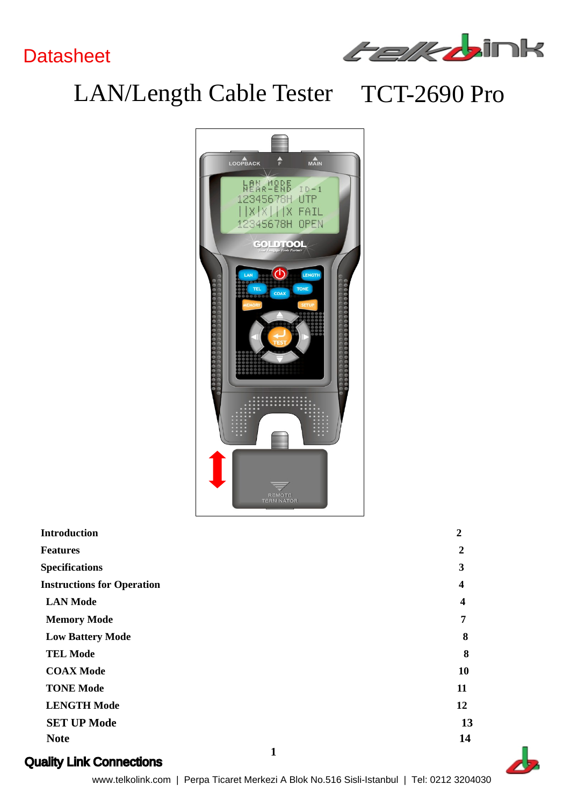## **Datasheet**



# LAN/Length Cable Tester TCT-2690 Pro



| <b>Introduction</b>               |  |
|-----------------------------------|--|
| <b>Features</b>                   |  |
| <b>Specifications</b>             |  |
| <b>Instructions for Operation</b> |  |
| <b>LAN Mode</b>                   |  |
| <b>Memory Mode</b>                |  |
| <b>Low Battery Mode</b>           |  |
| <b>TEL Mode</b>                   |  |
| <b>COAX Mode</b>                  |  |
| <b>TONE Mode</b>                  |  |
| <b>LENGTH Mode</b>                |  |
| <b>SET UP Mode</b>                |  |
| <b>Note</b>                       |  |
|                                   |  |

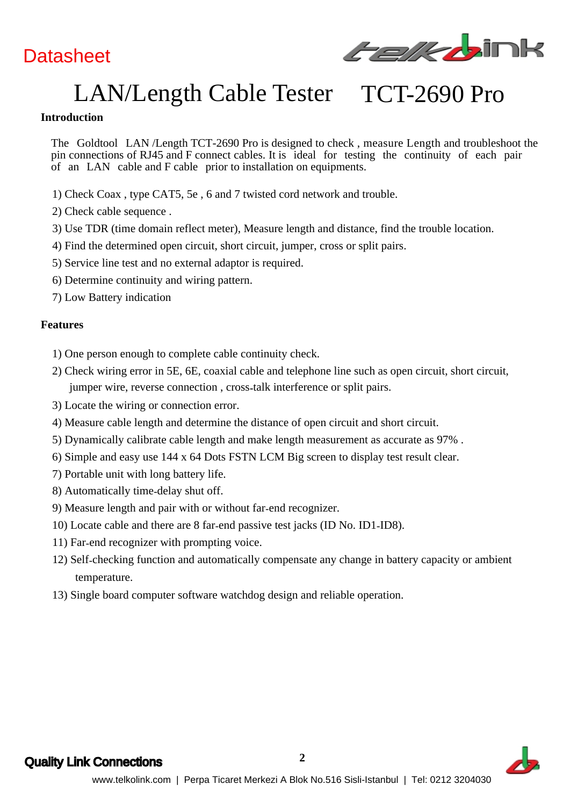## **Datasheet**



# LAN/Length Cable Tester TCT-2690 Pro

#### **Introduction**

The Goldtool LAN /Length TCT-2690 Pro is designed to check , measure Length and troubleshoot the pin connections of RJ45 and F connect cables. It is ideal for testing the continuity of each pair of an LAN cable and F cable prior to installation on equipments.

- 1) Check Coax , type CAT5, 5e , 6 and 7 twisted cord network and trouble.
- 2) Check cable sequence .
- 3) Use TDR (time domain reflect meter), Measure length and distance, find the trouble location.
- 4) Find the determined open circuit, short circuit, jumper, cross or split pairs.
- 5) Service line test and no external adaptor is required.
- 6) Determine continuity and wiring pattern.
- 7) Low Battery indication

#### **Features**

- 1) One person enough to complete cable continuity check.
- 2) Check wiring error in 5E, 6E, coaxial cable and telephone line such as open circuit, short circuit, jumper wire, reverse connection , cross talk interference or split pairs.
- 3) Locate the wiring or connection error.
- 4) Measure cable length and determine the distance of open circuit and short circuit.
- 5) Dynamically calibrate cable length and make length measurement as accurate as 97% .
- 6) Simple and easy use 144 x 64 Dots FSTN LCM Big screen to display test result clear.
- 7) Portable unit with long battery life.
- 8) Automatically time delay shut off.
- 9) Measure length and pair with or without far end recognizer.
- 10) Locate cable and there are 8 far end passive test jacks (ID No. ID1 ID8).
- 11) Far end recognizer with prompting voice.
- 12) Self checking function and automatically compensate any change in battery capacity or ambient temperature.
- 13) Single board computer software watchdog design and reliable operation.



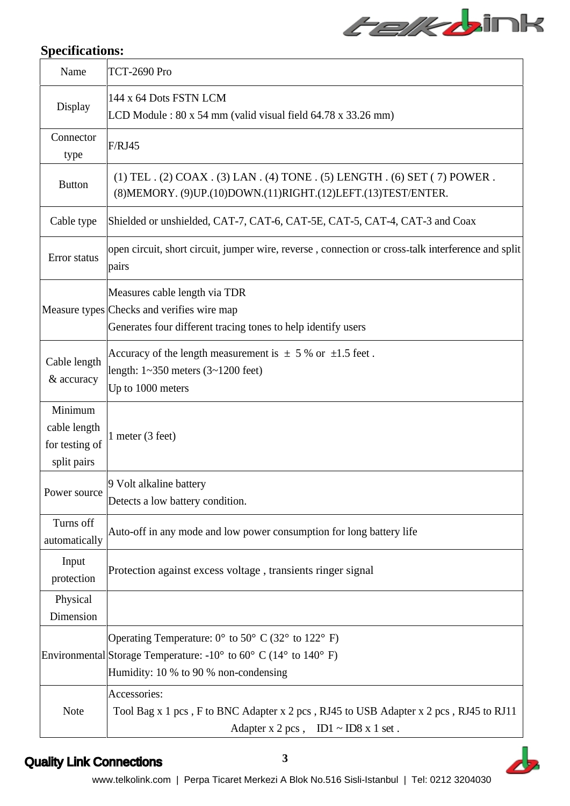# *Felkb*ink

| <b>Specifications:</b>                                   |                                                                                                                                                                                                     |
|----------------------------------------------------------|-----------------------------------------------------------------------------------------------------------------------------------------------------------------------------------------------------|
| Name                                                     | <b>TCT-2690 Pro</b>                                                                                                                                                                                 |
| Display                                                  | 144 x 64 Dots FSTN LCM<br>LCD Module: $80 \times 54$ mm (valid visual field $64.78 \times 33.26$ mm)                                                                                                |
| Connector<br>type                                        | F/RJ45                                                                                                                                                                                              |
| <b>Button</b>                                            | (1) TEL . (2) COAX . (3) LAN . (4) TONE . (5) LENGTH . (6) SET (7) POWER .<br>(8) MEMORY. (9) UP. (10) DOWN. (11) RIGHT. (12) LEFT. (13) TEST/ENTER.                                                |
|                                                          | Cable type Shielded or unshielded, CAT-7, CAT-6, CAT-5E, CAT-5, CAT-4, CAT-3 and Coax                                                                                                               |
| Error status                                             | open circuit, short circuit, jumper wire, reverse, connection or cross-talk interference and split<br>pairs                                                                                         |
|                                                          | Measures cable length via TDR<br>Measure types Checks and verifies wire map<br>Generates four different tracing tones to help identify users                                                        |
| Cable length<br>& accuracy                               | Accuracy of the length measurement is $\pm$ 5 % or $\pm$ 1.5 feet.<br>length: $1 \sim 350$ meters $(3 \sim 1200$ feet)<br>Up to 1000 meters                                                         |
| Minimum<br>cable length<br>for testing of<br>split pairs | 1 meter (3 feet)                                                                                                                                                                                    |
| Power source                                             | 9 Volt alkaline battery<br>Detects a low battery condition.                                                                                                                                         |
| Turns off<br>automatically                               | Auto-off in any mode and low power consumption for long battery life                                                                                                                                |
| Input<br>protection                                      | Protection against excess voltage, transients ringer signal                                                                                                                                         |
| Physical<br>Dimension                                    |                                                                                                                                                                                                     |
|                                                          | Operating Temperature: $0^{\circ}$ to $50^{\circ}$ C (32° to 122° F)<br>Environmental Storage Temperature: $-10^{\circ}$ to $60^{\circ}$ C (14° to 140° F)<br>Humidity: 10 % to 90 % non-condensing |
| Note                                                     | Accessories:<br>Tool Bag x 1 pcs, F to BNC Adapter x 2 pcs, RJ45 to USB Adapter x 2 pcs, RJ45 to RJ11<br>Adapter x 2 pcs, $ID1 \sim ID8$ x 1 set.                                                   |

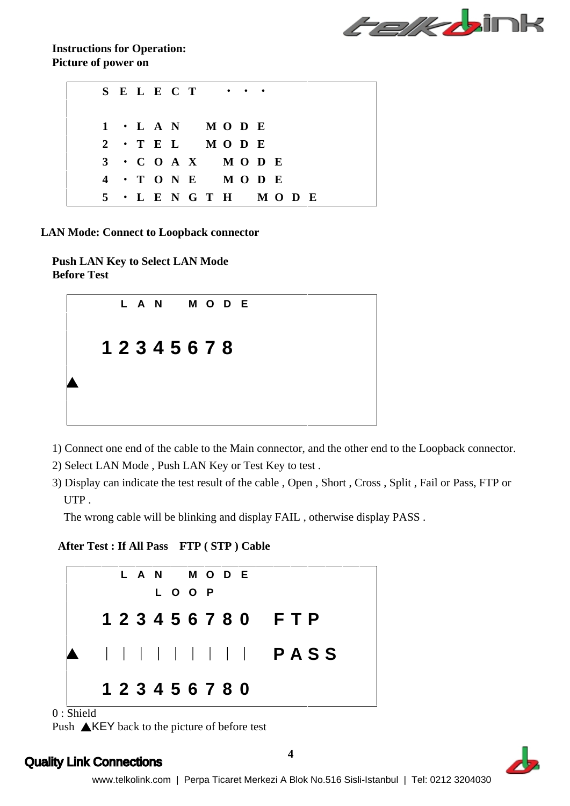

**Instructions for Operation: Picture of power on**

| S E L E C T $\cdots$          |  |  |  |  |
|-------------------------------|--|--|--|--|
|                               |  |  |  |  |
| $1 \cdot L A N$ $M O D E$     |  |  |  |  |
| $2 \cdot T$ E L M O D E       |  |  |  |  |
| $3 \cdot C$ O A X M O D E     |  |  |  |  |
| $4 \cdot T$ ONE MODE          |  |  |  |  |
| $5 \cdot L E N G T H M O D E$ |  |  |  |  |

**LAN Mode: Connect to Loopback connector**

**Push LAN Key to Select LAN Mode Before Test** 



- 1) Connect one end of the cable to the Main connector, and the other end to the Loopback connector.
- 2) Select LAN Mode , Push LAN Key or Test Key to test .
- 3) Display can indicate the test result of the cable , Open , Short , Cross , Split , Fail or Pass, FTP or UTP .

The wrong cable will be blinking and display FAIL , otherwise display PASS .

**After Test : If All Pass FTP ( STP ) Cable**



0 : Shield

Push  $\triangle$ KEY back to the picture of before test

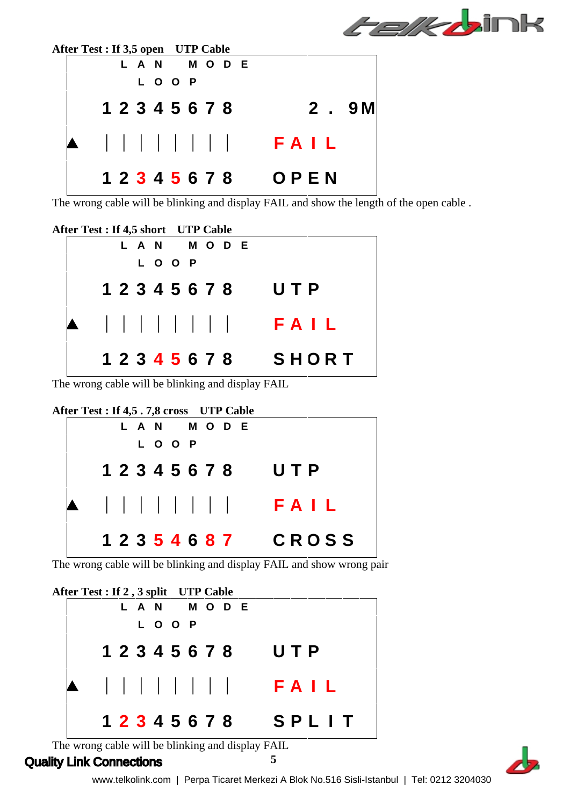|                                    | <i>Felkt</i> ink |
|------------------------------------|------------------|
| After Test : If 3,5 open UTP Cable |                  |
| L A N M O D E<br>L O O P           |                  |
| 1 2 3 4 5 6 7 8                    | 2.9M             |
| $\mathbf{1}$<br><b>Contract</b>    | FAIL             |
| 1 2 3 4 5 6 7 8                    | OPEN             |

The wrong cable will be blinking and display FAIL and show the length of the open cable .



The wrong cable will be blinking and display FAIL

| After Test : If 4,5.7,8 cross UTP Cable |              |
|-----------------------------------------|--------------|
| L A N M O D E                           |              |
| L O O P                                 |              |
| 1 2 3 4 5 6 7 8                         | UTP          |
|                                         | FAIL         |
| 1 2 3 5 4 6 8 7                         | <b>CROSS</b> |

The wrong cable will be blinking and display FAIL and show wrong pair

**After Test : If 2 , 3 split UTP Cable L A N M O D E L O O P 1 2 3 4 5 6 7 8 U T P F A I L 1 2 3 4 5 6 7 8 S P L I T**

The wrong cable will be blinking and display FAIL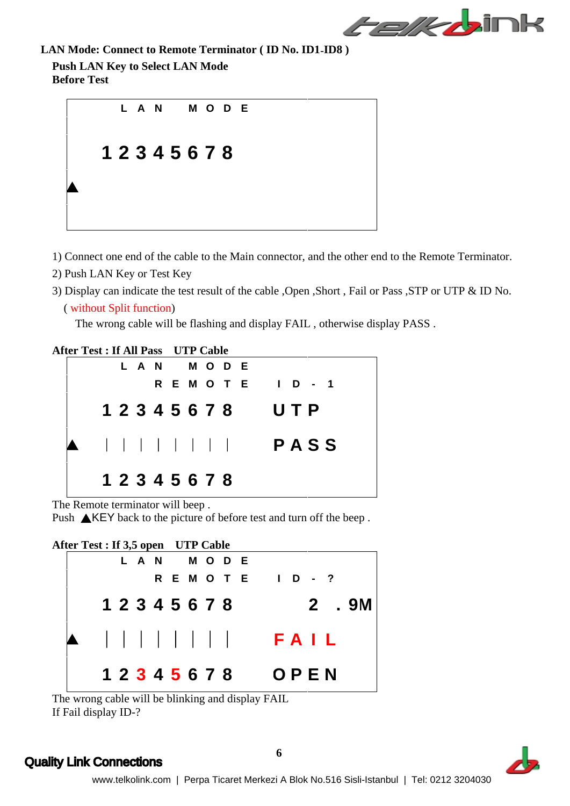

**LAN Mode: Connect to Remote Terminator ( ID No. ID1 ID8 )**

**Push LAN Key to Select LAN Mode Before Test** 



- 1) Connect one end of the cable to the Main connector, and the other end to the Remote Terminator.
- 2) Push LAN Key or Test Key
- 3) Display can indicate the test result of the cable ,Open ,Short , Fail or Pass ,STP or UTP & ID No.

```
( without Split function)
```
The wrong cable will be flashing and display FAIL , otherwise display PASS .

**After Test : If All Pass UTP Cable L A N M O D E R E M O T E I D - 1 1 2 3 4 5 6 7 8 U T P P A S S 1 2 3 4 5 6 7 8**

The Remote terminator will beep .

Push  $\triangle$ KEY back to the picture of before test and turn off the beep.



The wrong cable will be blinking and display FAIL If Fail display ID-?

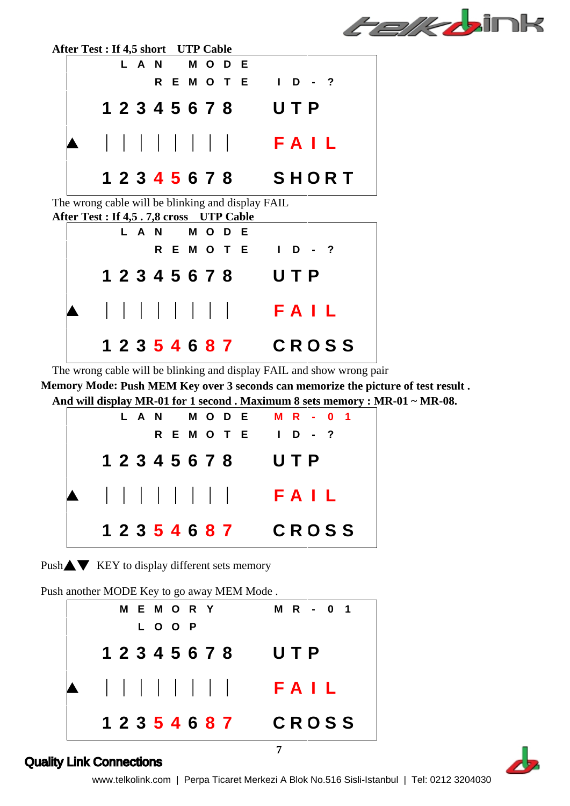



The wrong cable will be blinking and display FAIL and show wrong pair

**Memory Mode: Push MEM Key over 3 seconds can memorize the picture of test result . And will display MR-01 for 1 second . Maximum 8 sets memory : MR-01 ~ MR-08.**

| LAN MODE MR-01  |              |  |  |
|-----------------|--------------|--|--|
| <b>REMOTE</b>   | $1$ D - ?    |  |  |
| 1 2 3 4 5 6 7 8 | UTP          |  |  |
|                 | FAIL         |  |  |
| 1 2 3 5 4 6 8 7 | <b>CROSS</b> |  |  |



Push another MODE Key to go away MEM Mode .

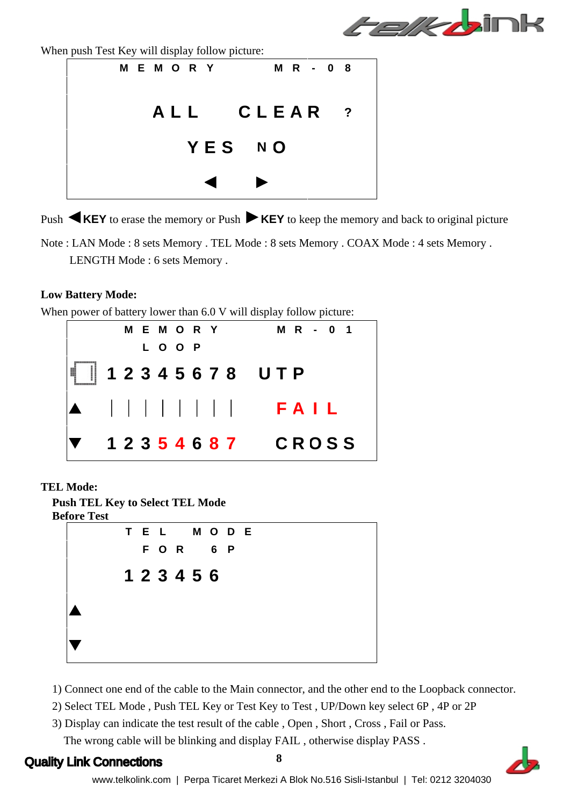

When push Test Key will display follow picture:



Push **KEY** to erase the memory or Push **KEY** to keep the memory and back to original picture

Note : LAN Mode : 8 sets Memory . TEL Mode : 8 sets Memory . COAX Mode : 4 sets Memory . LENGTH Mode : 6 sets Memory .

#### **Low Battery Mode:**

When power of battery lower than 6.0 V will display follow picture:



#### **TEL Mode:**

**Push TEL Key to Select TEL Mode Before Test** 



- 1) Connect one end of the cable to the Main connector, and the other end to the Loopback connector.
- 2) Select TEL Mode , Push TEL Key or Test Key to Test , UP/Down key select 6P , 4P or 2P
- 3) Display can indicate the test result of the cable , Open , Short , Cross , Fail or Pass. The wrong cable will be blinking and display FAIL , otherwise display PASS .

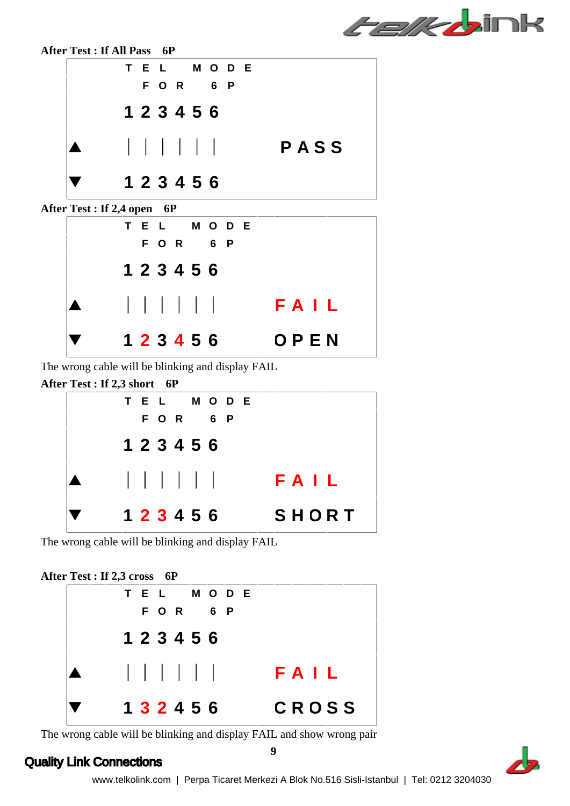*Felkb*ink



The wrong cable will be blinking and display FAIL



The wrong cable will be blinking and display FAIL

#### **After Test : If 2,3 cross 6P**



The wrong cable will be blinking and display FAIL and show wrong pair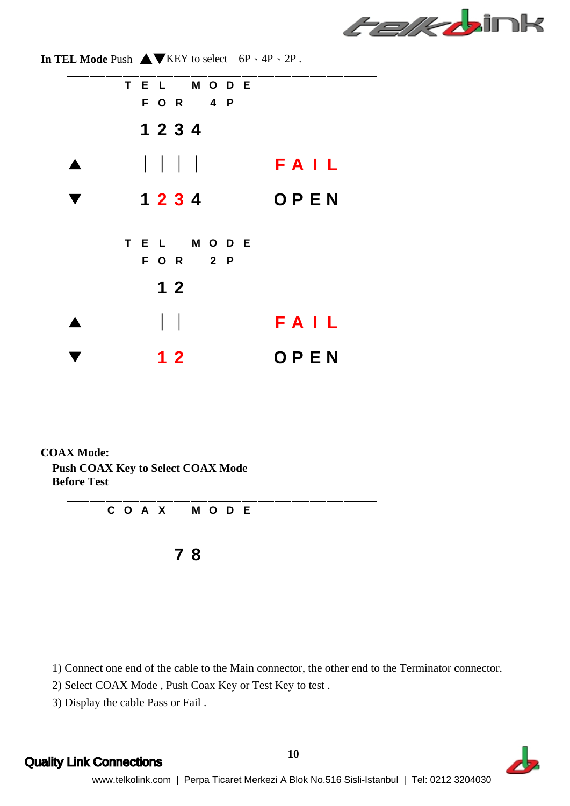

**In TEL Mode Push**  $\triangle \blacktriangledown$  **KEY to select 6P \4P \2P.** 



#### **COAX Mode:**

**Push COAX Key to Select COAX Mode Before Test** 



1) Connect one end of the cable to the Main connector, the other end to the Terminator connector.

- 2) Select COAX Mode , Push Coax Key or Test Key to test .
- 3) Display the cable Pass or Fail .

**10** Quality Link Connections **10** and the set of the set of the set of the set of the set of the set of the set of the set of the set of the set of the set of the set of the set of the set of the set of the set of the set

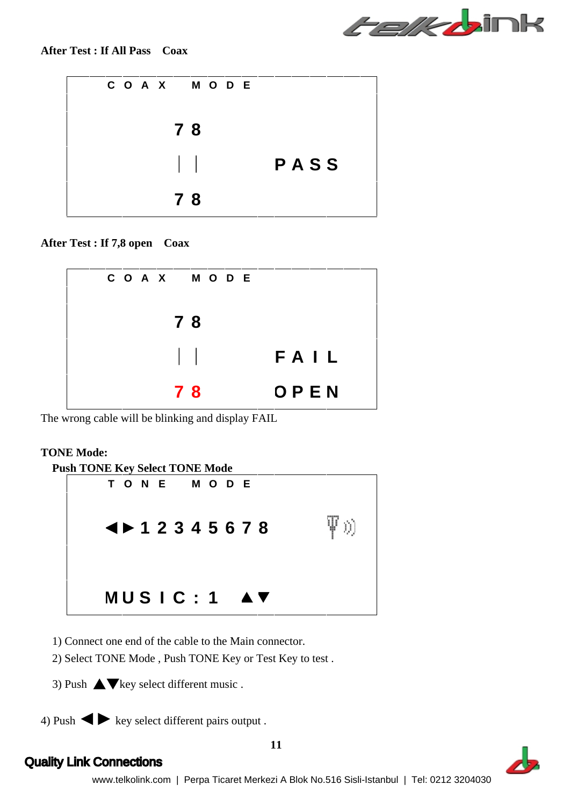

| COAX MODE |      |
|-----------|------|
| $78$      |      |
|           | PASS |
| 78        |      |

**After Test : If 7,8 open Coax**



The wrong cable will be blinking and display FAIL

#### **TONE Mode:**

- 1) Connect one end of the cable to the Main connector.
- 2) Select TONE Mode , Push TONE Key or Test Key to test .
- 
- 3) Push  $\blacktriangle$  key select different music .<br>4) Push  $\blacktriangle$  key select different pairs output .

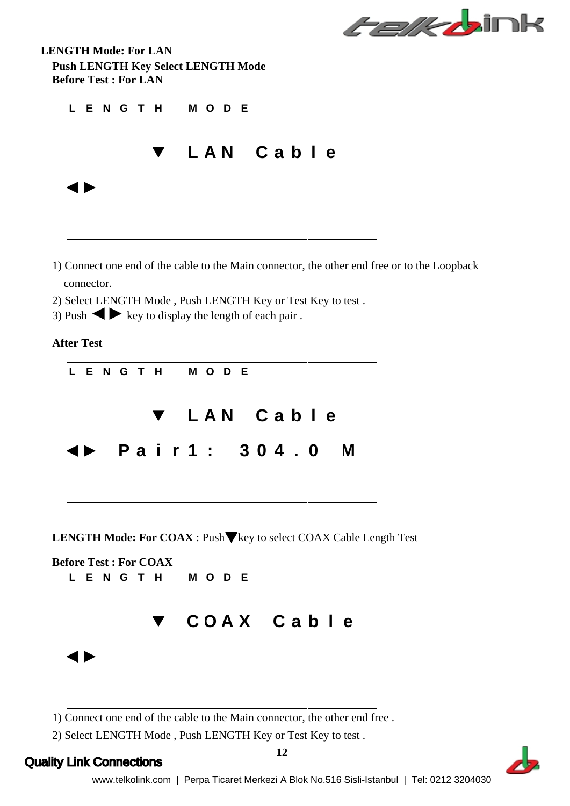

**LENGTH Mode: For LAN Push LENGTH Key Select LENGTH Mode Before Test : For LAN**



- 1) Connect one end of the cable to the Main connector, the other end free or to the Loopback connector.
- 2) Select LENGTH Mode , Push LENGTH Key or Test Key to test .
- 3) Push  $\blacktriangleright$  key to display the length of each pair .

**After Test** 



**LENGTH Mode: For COAX** : Push▼key to select COAX Cable Length Test



1) Connect one end of the cable to the Main connector, the other end free .

2) Select LENGTH Mode , Push LENGTH Key or Test Key to test .

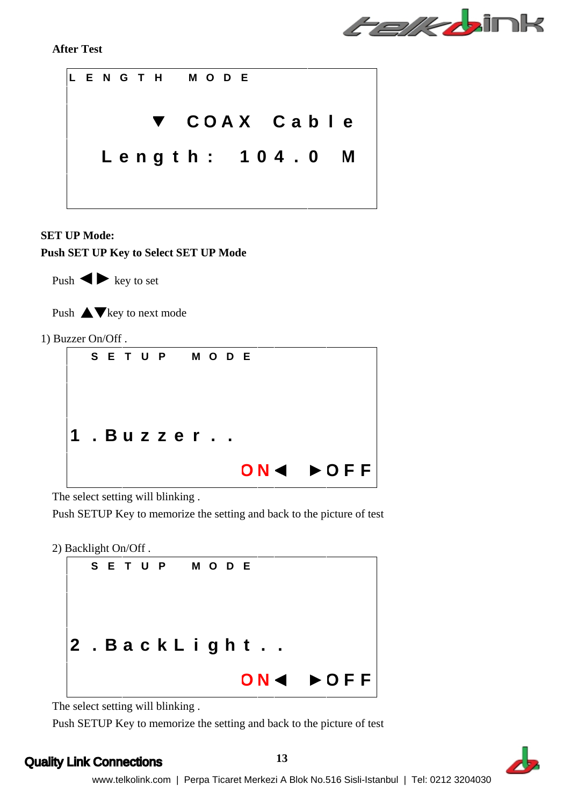*Felk b*ink

**After Test** 



#### **SET UP Mode:**

**Push SET UP Key to Select SET UP Mode**



Push  $\triangle \blacktriangledown$  key to next mode

1) Buzzer On/Off .

| S E T U P M O D E  |  |  |  |
|--------------------|--|--|--|
|                    |  |  |  |
|                    |  |  |  |
|                    |  |  |  |
| . Buzzer. .        |  |  |  |
|                    |  |  |  |
| ON4 <b>&gt;OFF</b> |  |  |  |

The select setting will blinking .

Push SETUP Key to memorize the setting and back to the picture of test

2) Backlight On/Off .



The select setting will blinking .

Push SETUP Key to memorize the setting and back to the picture of test

#### Quality Link Connections **13** and the set of the set of the set of the set of the set of the set of the set of the set of the set of the set of the set of the set of the set of the set of the set of the set of the set of t